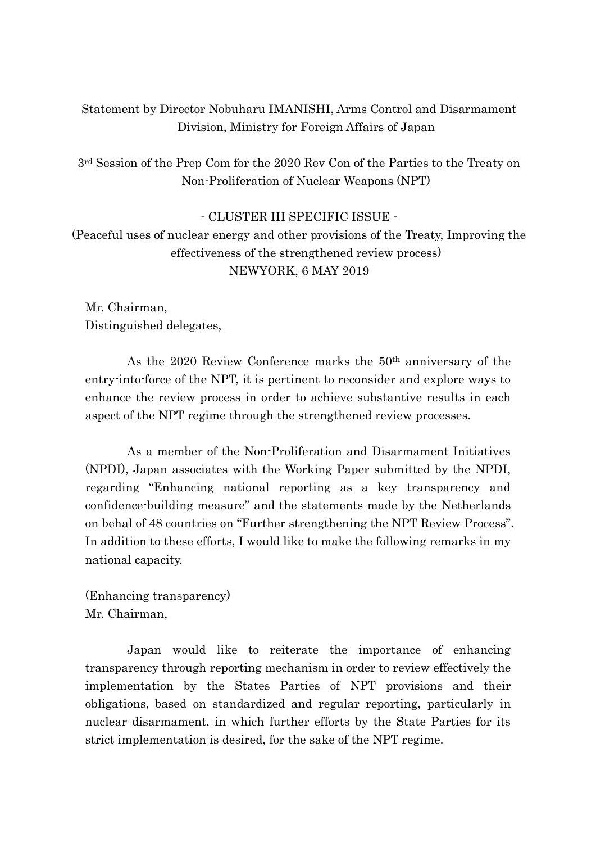## Statement by Director Nobuharu IMANISHI, Arms Control and Disarmament Division, Ministry for Foreign Affairs of Japan

3rd Session of the Prep Com for the 2020 Rev Con of the Parties to the Treaty on Non-Proliferation of Nuclear Weapons (NPT)

## - CLUSTER III SPECIFIC ISSUE -

(Peaceful uses of nuclear energy and other provisions of the Treaty, Improving the effectiveness of the strengthened review process) NEWYORK, 6 MAY 2019

Mr. Chairman, Distinguished delegates,

As the 2020 Review Conference marks the 50th anniversary of the entry-into-force of the NPT, it is pertinent to reconsider and explore ways to enhance the review process in order to achieve substantive results in each aspect of the NPT regime through the strengthened review processes.

As a member of the Non-Proliferation and Disarmament Initiatives (NPDI), Japan associates with the Working Paper submitted by the NPDI, regarding "Enhancing national reporting as a key transparency and confidence-building measure" and the statements made by the Netherlands on behal of 48 countries on "Further strengthening the NPT Review Process". In addition to these efforts, I would like to make the following remarks in my national capacity.

(Enhancing transparency) Mr. Chairman,

Japan would like to reiterate the importance of enhancing transparency through reporting mechanism in order to review effectively the implementation by the States Parties of NPT provisions and their obligations, based on standardized and regular reporting, particularly in nuclear disarmament, in which further efforts by the State Parties for its strict implementation is desired, for the sake of the NPT regime.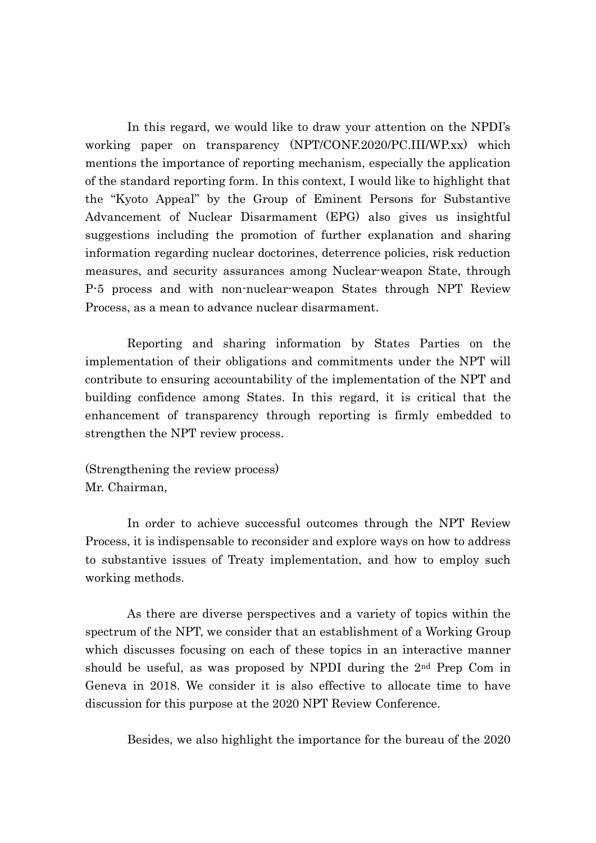In this regard, we would like to draw your attention on the NPDI's working paper on transparency (NPT/CONF.2020/PC.III/WP.xx) which mentions the importance of reporting mechanism, especially the application of the standard reporting form. In this context, I would like to highlight that the "Kyoto Appeal" by the Group of Eminent Persons for Substantive Advancement of Nuclear Disarmament (EPG) also gives us insightful suggestions including the promotion of further explanation and sharing information regarding nuclear doctorines, deterrence policies, risk reduction measures, and security assurances among Nuclear-weapon State, through P-5 process and with non-nuclear-weapon States through NPT Review Process, as a mean to advance nuclear disarmament.

Reporting and sharing information by States Parties on the implementation of their obligations and commitments under the NPT will contribute to ensuring accountability of the implementation of the NPT and building confidence among States. In this regard, it is critical that the enhancement of transparency through reporting is firmly embedded to strengthen the NPT review process.

(Strengthening the review process) Mr. Chairman,

In order to achieve successful outcomes through the NPT Review Process, it is indispensable to reconsider and explore ways on how to address to substantive issues of Treaty implementation, and how to employ such working methods.

As there are diverse perspectives and a variety of topics within the spectrum of the NPT, we consider that an establishment of a Working Group which discusses focusing on each of these topics in an interactive manner should be useful, as was proposed by NPDI during the 2nd Prep Com in Geneva in 2018. We consider it is also effective to allocate time to have discussion for this purpose at the 2020 NPT Review Conference.

Besides, we also highlight the importance for the bureau of the 2020